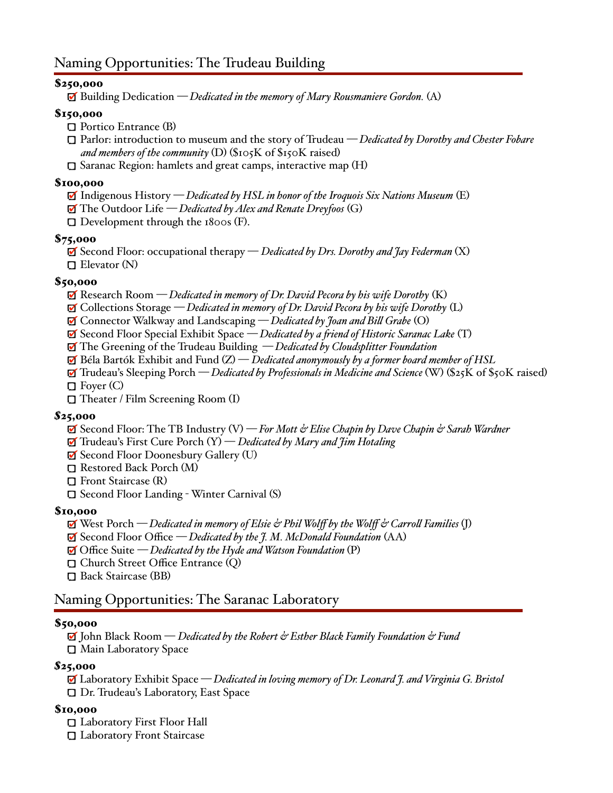### \$250,000

Building Dedication *— Dedicated in the memory of Mary Rousmaniere Gordon.* (A)

#### \$150,000

- Portico Entrance (B)
- Parlor: introduction to museum and the story of Trudeau *— Dedicated by Dorothy and Chester Fobare and members of the community* (D) (\$105K of \$150K raised)
- $\square$  Saranac Region: hamlets and great camps, interactive map  $(H)$

#### \$100,000

- Indigenous History *— Dedicated by HSL in honor of the Iroquois Six Nations Museum* (E)
- The Outdoor Life *— Dedicated by Alex and Renate Dreyfoos* (G)
- $\Box$  Development through the 1800s (F).

#### \$75,000

 Second Floor: occupational therapy — *Dedicated by Drs. Dorothy and Jay Federman* (X) Elevator (N)

#### \$50,000

- Research Room *— Dedicated in memory of Dr. David Pecora by his wife Dorothy* (K)
- Collections Storage *— Dedicated in memory of Dr. David Pecora by his wife Dorothy* (L)
- Connector Walkway and Landscaping *— Dedicated by Joan and Bill Grabe* (O)
- Second Floor Special Exhibit Space *— Dedicated by a friend of Historic Saranac Lake* (T)
- The Greening of the Trudeau Building *— Dedicated by Cloudsplitter Foundation*
- $\mathbf{\mathcal{F}}$  Béla Bartók Exhibit and Fund  $(\mathbf{Z})$  *Dedicated anonymously by a former board member of HSL*
- Trudeau's Sleeping Porch *— Dedicated by Professionals in Medicine and Science* (W) (\$25K of \$50K raised)
- $\Box$  Foyer (C)
- Theater / Film Screening Room (I)

#### *\$*25,000

- **Ø** Second Floor: The TB Industry (V) − *For Mott & Elise Chapin by Dave Chapin & Sarah Wardner*
- **Ⅰ** Trudeau's First Cure Porch (Y) *Dedicated by Mary and †im Hotaling*
- ⊠ Second Floor Doonesbury Gallery (U)
- Restored Back Porch (M)
- Front Staircase (R)
- Second Floor Landing Winter Carnival (S)

#### \$10,000

- West Porch *— Dedicated in memory of Elsie & Phil Wolff by the Wolff & Carroll Families* (J)
- Second Floor Office *— Dedicated by the J. M. McDonald Foundation* (AA)
- Office Suite *— Dedicated by the Hyde and Watson Foundation* (P)
- Church Street Office Entrance (Q)
- Back Staircase (BB)

## Naming Opportunities: The Saranac Laboratory

#### \$50,000

 John Black Room — *Dedicated by the Robert & Esther Black Family Foundation & Fund* Main Laboratory Space

#### *\$*25,000

Laboratory Exhibit Space *— Dedicated in loving memory of Dr. Leonard J. and Virginia G. Bristol* Dr. Trudeau's Laboratory, East Space

#### \$10,000

 Laboratory First Floor Hall Laboratory Front Staircase